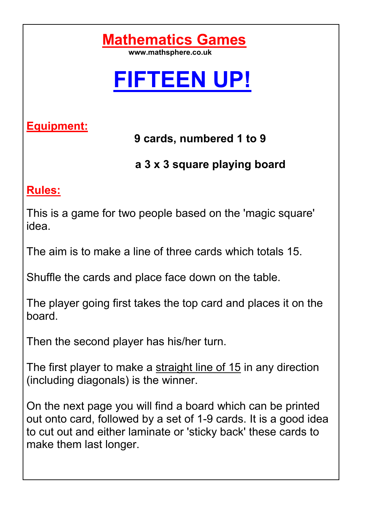

## **FIFTEEN UP!**

**Equipment:** 

 **9 cards, numbered 1 to 9**

 **a 3 x 3 square playing board**

## **Rules:**

This is a game for two people based on the 'magic square' idea.

The aim is to make a line of three cards which totals 15.

Shuffle the cards and place face down on the table.

The player going first takes the top card and places it on the board.

Then the second player has his/her turn.

The first player to make a straight line of 15 in any direction (including diagonals) is the winner.

On the next page you will find a board which can be printed out onto card, followed by a set of 1-9 cards. It is a good idea to cut out and either laminate or 'sticky back' these cards to make them last longer.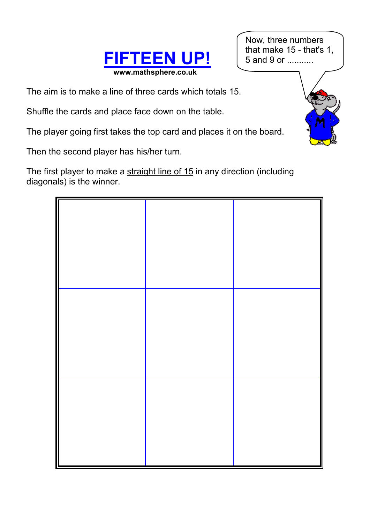

Now, three numbers that make 15 - that's 1, 5 and 9 or ...........

The aim is to make a line of three cards which totals 15.

Shuffle the cards and place face down on the table.

The player going first takes the top card and places it on the board.

Then the second player has his/her turn.

The first player to make a straight line of 15 in any direction (including diagonals) is the winner.